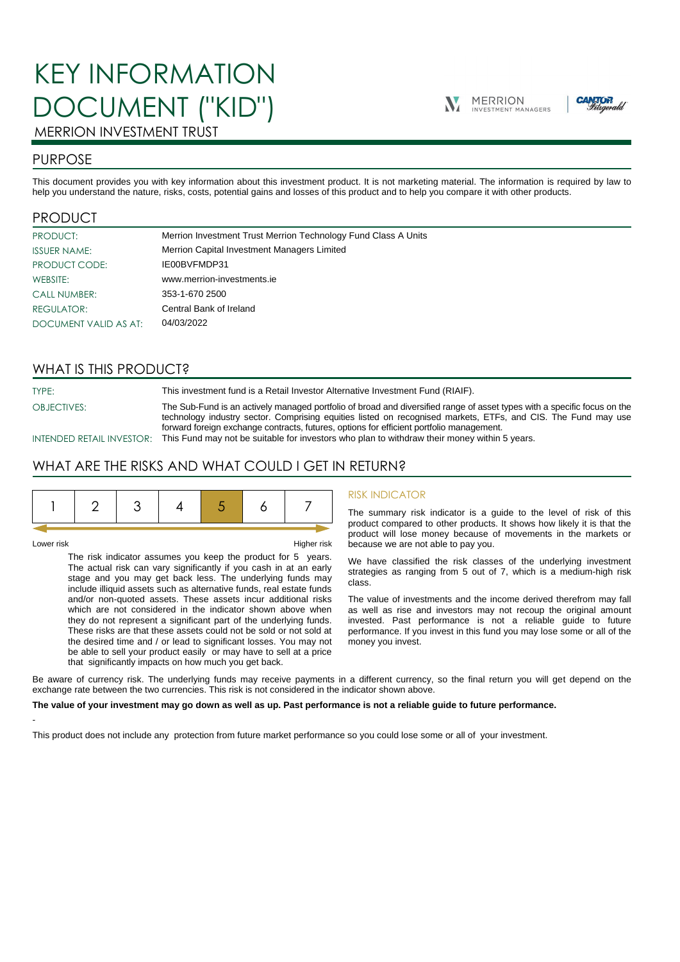# KEY INFORMATION DOCUMENT ("KID")





## MERRION INVESTMENT TRUST

## PURPOSE

This document provides you with key information about this investment product. It is not marketing material. The information is required by law to help you understand the nature, risks, costs, potential gains and losses of this product and to help you compare it with other products.

## PRODUCT

| PRODUCT:              | Merrion Investment Trust Merrion Technology Fund Class A Units |
|-----------------------|----------------------------------------------------------------|
| <b>ISSUER NAME:</b>   | Merrion Capital Investment Managers Limited                    |
| PRODUCT CODE:         | IE00BVFMDP31                                                   |
| WEBSITE:              | www.merrion-investments.ie                                     |
| <b>CALL NUMBER:</b>   | 353-1-670 2500                                                 |
| <b>REGULATOR:</b>     | Central Bank of Ireland                                        |
| DOCUMENT VALID AS AT: | 04/03/2022                                                     |

## WHAT IS THIS PRODUCT?

TYPE: This investment fund is a Retail Investor Alternative Investment Fund (RIAIF).

OBJECTIVES: The Sub-Fund is an actively managed portfolio of broad and diversified range of asset types with a specific focus on the technology industry sector. Comprising equities listed on recognised markets, ETFs, and CIS. The Fund may use forward foreign exchange contracts, futures, options for efficient portfolio management.

INTENDED RETAIL INVESTOR: This Fund may not be suitable for investors who plan to withdraw their money within 5 years.

## WHAT ARE THE RISKS AND WHAT COULD I GET IN RETURN?



-

Lower risk Higher risk

The risk indicator assumes you keep the product for 5 years. The actual risk can vary significantly if you cash in at an early stage and you may get back less. The underlying funds may include illiquid assets such as alternative funds, real estate funds and/or non-quoted assets. These assets incur additional risks which are not considered in the indicator shown above when they do not represent a significant part of the underlying funds. These risks are that these assets could not be sold or not sold at the desired time and / or lead to significant losses. You may not be able to sell your product easily or may have to sell at a price that significantly impacts on how much you get back.

#### RISK INDICATOR

The summary risk indicator is a guide to the level of risk of this product compared to other products. It shows how likely it is that the product will lose money because of movements in the markets or because we are not able to pay you.

We have classified the risk classes of the underlying investment strategies as ranging from 5 out of 7, which is a medium-high risk class.

The value of investments and the income derived therefrom may fall as well as rise and investors may not recoup the original amount invested. Past performance is not a reliable guide to future performance. If you invest in this fund you may lose some or all of the money you invest.

Be aware of currency risk. The underlying funds may receive payments in a different currency, so the final return you will get depend on the exchange rate between the two currencies. This risk is not considered in the indicator shown above.

#### **The value of your investment may go down as well as up. Past performance is not a reliable guide to future performance.**

This product does not include any protection from future market performance so you could lose some or all of your investment.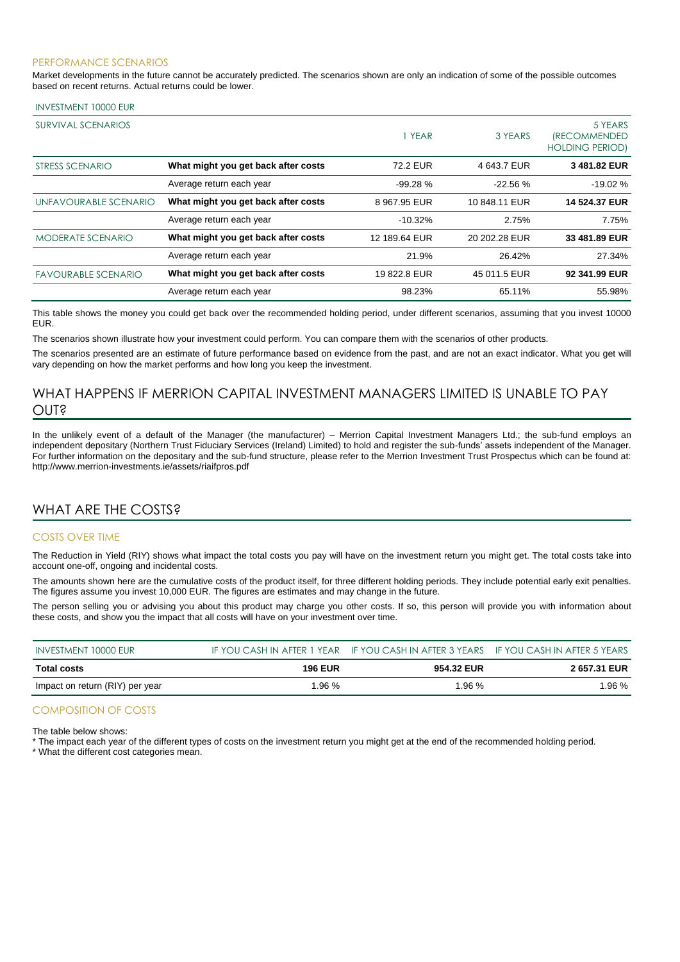#### PERFORMANCE SCENARIOS

Market developments in the future cannot be accurately predicted. The scenarios shown are only an indication of some of the possible outcomes based on recent returns. Actual returns could be lower.

#### INVESTMENT 10000 EUR

| <b>SURVIVAL SCENARIOS</b>  |                                     | 1 YEAR        | 3 YEARS       | 5 YEARS<br><i><b>IRECOMMENDED</b></i><br><b>HOLDING PERIOD)</b> |
|----------------------------|-------------------------------------|---------------|---------------|-----------------------------------------------------------------|
| STRESS SCENARIO            | What might you get back after costs | 72.2 EUR      | 4 643.7 EUR   | 3481.82 EUR                                                     |
|                            | Average return each year            | $-99.28%$     | $-22.56%$     | $-19.02%$                                                       |
| UNFAVOURABLE SCENARIO      | What might you get back after costs | 8 967.95 EUR  | 10848.11 EUR  | 14 524.37 EUR                                                   |
|                            | Average return each year            | $-10.32%$     | 2.75%         | 7.75%                                                           |
| <b>MODERATE SCENARIO</b>   | What might you get back after costs | 12 189.64 EUR | 20 202.28 EUR | 33 481.89 EUR                                                   |
|                            | Average return each year            | 21.9%         | 26.42%        | 27.34%                                                          |
| <b>FAVOURABLE SCENARIO</b> | What might you get back after costs | 19822.8 EUR   | 45 011.5 EUR  | 92 341.99 EUR                                                   |
|                            | Average return each year            | 98.23%        | 65.11%        | 55.98%                                                          |

This table shows the money you could get back over the recommended holding period, under different scenarios, assuming that you invest 10000 EUR.

The scenarios shown illustrate how your investment could perform. You can compare them with the scenarios of other products.

The scenarios presented are an estimate of future performance based on evidence from the past, and are not an exact indicator. What you get will vary depending on how the market performs and how long you keep the investment.

## WHAT HAPPENS IF MERRION CAPITAL INVESTMENT MANAGERS LIMITED IS UNABLE TO PAY OUT?

In the unlikely event of a default of the Manager (the manufacturer) – Merrion Capital Investment Managers Ltd.; the sub-fund employs an independent depositary (Northern Trust Fiduciary Services (Ireland) Limited) to hold and register the sub-funds' assets independent of the Manager. For further information on the depositary and the sub-fund structure, please refer to the Merrion Investment Trust Prospectus which can be found at: http://www.merrion-investments.ie/assets/riaifpros.pdf

## WHAT ARE THE COSTS?

#### COSTS OVER TIME

The Reduction in Yield (RIY) shows what impact the total costs you pay will have on the investment return you might get. The total costs take into account one-off, ongoing and incidental costs.

The amounts shown here are the cumulative costs of the product itself, for three different holding periods. They include potential early exit penalties. The figures assume you invest 10,000 EUR. The figures are estimates and may change in the future.

The person selling you or advising you about this product may charge you other costs. If so, this person will provide you with information about these costs, and show you the impact that all costs will have on your investment over time.

| INVESTMENT 10000 EUR            |                | IF YOU CASH IN AFTER 1 YEAR IF YOU CASH IN AFTER 3 YEARS IF YOU CASH IN AFTER 5 YEARS |              |
|---------------------------------|----------------|---------------------------------------------------------------------------------------|--------------|
| Total costs                     | <b>196 EUR</b> | 954.32 EUR                                                                            | 2 657.31 EUR |
| Impact on return (RIY) per year | 1.96 %         | 1.96%                                                                                 | 1.96 $%$     |

#### COMPOSITION OF COSTS

The table below shows:

\* The impact each year of the different types of costs on the investment return you might get at the end of the recommended holding period.

\* What the different cost categories mean.